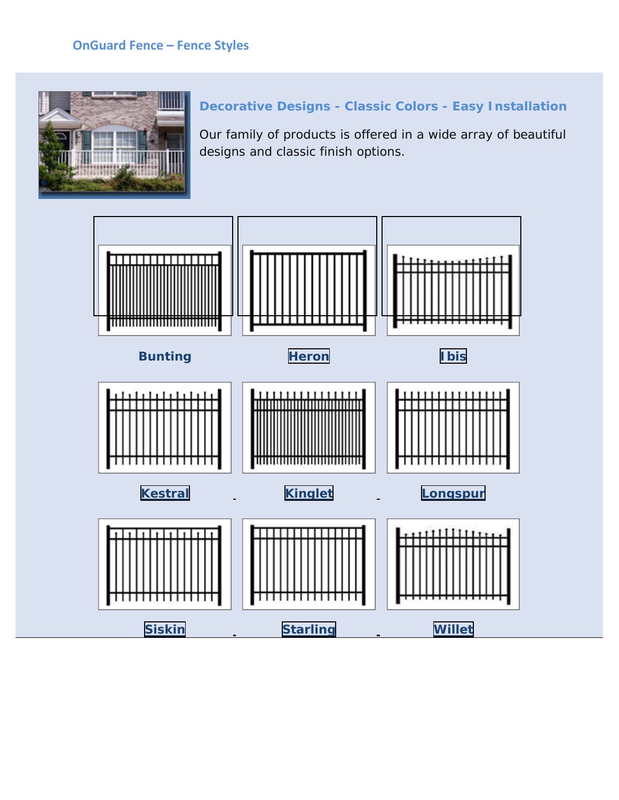### **OnGuard Fence - Fence Styles**



# **Decorative Designs - Classic Colors - Easy Installation**

Our family of products is offered in a wide array of beautiful designs and classic finish options.

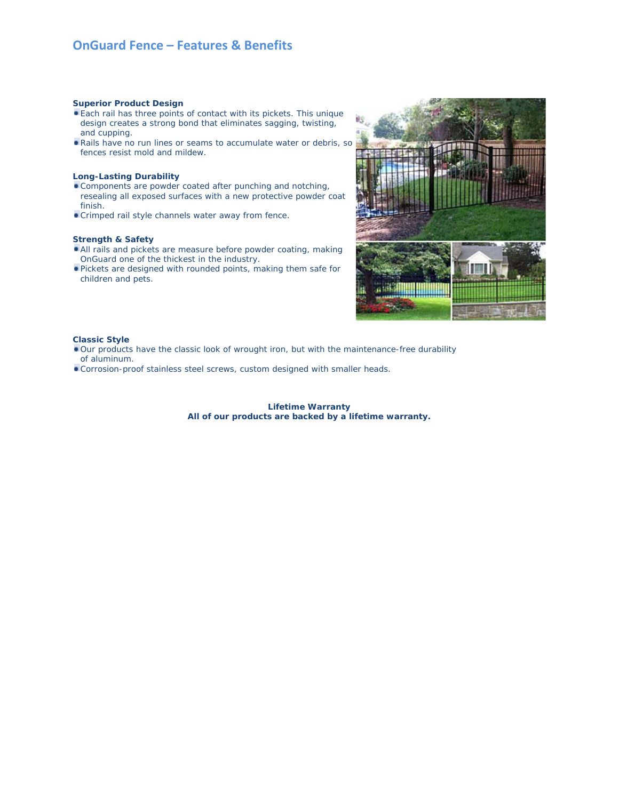### **OnGuard Fence – Features & Benefits**

#### **Superior Product Design**

- Each rail has three points of contact with its pickets. This unique design creates a strong bond that eliminates sagging, twisting, and cupping.
- Rails have no run lines or seams to accumulate water or debris, so fences resist mold and mildew.

#### **Long-Lasting Durability**

- Components are powder coated after punching and notching, resealing all exposed surfaces with a new protective powder coat finish.
- Crimped rail style channels water away from fence.

#### **Strength & Safety**

- All rails and pickets are measure before powder coating, making OnGuard one of the thickest in the industry.
- Pickets are designed with rounded points, making them safe for children and pets.



### **Classic Style**

- Our products have the classic look of wrought iron, but with the maintenance-free durability of aluminum.
- Corrosion-proof stainless steel screws, custom designed with smaller heads.

#### **Lifetime Warranty All of our products are backed by a lifetime warranty.**